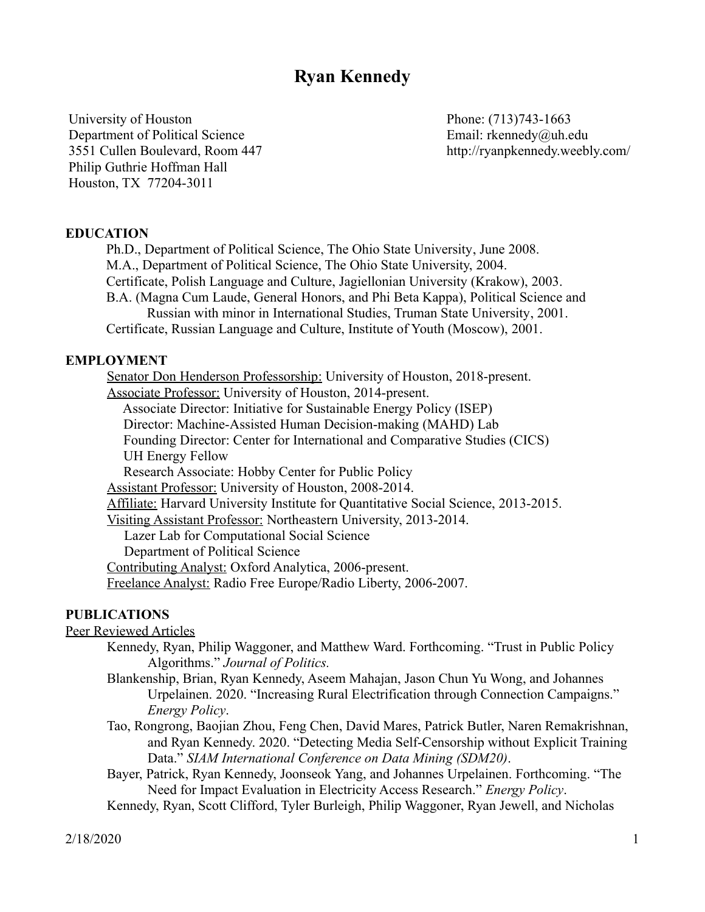# **Ryan Kennedy**

University of Houston Department of Political Science 3551 Cullen Boulevard, Room 447 Philip Guthrie Hoffman Hall Houston, TX 77204-3011

Phone: (713)743-1663 Email: rkennedy@uh.edu http://ryanpkennedy.weebly.com/

# **EDUCATION**

Ph.D., Department of Political Science, The Ohio State University, June 2008. M.A., Department of Political Science, The Ohio State University, 2004. Certificate, Polish Language and Culture, Jagiellonian University (Krakow), 2003. B.A. (Magna Cum Laude, General Honors, and Phi Beta Kappa), Political Science and Russian with minor in International Studies, Truman State University, 2001. Certificate, Russian Language and Culture, Institute of Youth (Moscow), 2001.

# **EMPLOYMENT**

Senator Don Henderson Professorship: University of Houston, 2018-present. Associate Professor: University of Houston, 2014-present. Associate Director: Initiative for Sustainable Energy Policy (ISEP) Director: Machine-Assisted Human Decision-making (MAHD) Lab Founding Director: Center for International and Comparative Studies (CICS) UH Energy Fellow Research Associate: Hobby Center for Public Policy Assistant Professor: University of Houston, 2008-2014. Affiliate: Harvard University Institute for Quantitative Social Science, 2013-2015. Visiting Assistant Professor: Northeastern University, 2013-2014. Lazer Lab for Computational Social Science Department of Political Science Contributing Analyst: Oxford Analytica, 2006-present. Freelance Analyst: Radio Free Europe/Radio Liberty, 2006-2007.

#### **PUBLICATIONS**

Peer Reviewed Articles

- Kennedy, Ryan, Philip Waggoner, and Matthew Ward. Forthcoming. "Trust in Public Policy Algorithms." *Journal of Politics.*
- Blankenship, Brian, Ryan Kennedy, Aseem Mahajan, Jason Chun Yu Wong, and Johannes Urpelainen. 2020. "Increasing Rural Electrification through Connection Campaigns." *Energy Policy*.
- Tao, Rongrong, Baojian Zhou, Feng Chen, David Mares, Patrick Butler, Naren Remakrishnan, and Ryan Kennedy. 2020. "Detecting Media Self-Censorship without Explicit Training Data." *SIAM International Conference on Data Mining (SDM20)*.
- Bayer, Patrick, Ryan Kennedy, Joonseok Yang, and Johannes Urpelainen. Forthcoming. "The Need for Impact Evaluation in Electricity Access Research." *Energy Policy*.
- Kennedy, Ryan, Scott Clifford, Tyler Burleigh, Philip Waggoner, Ryan Jewell, and Nicholas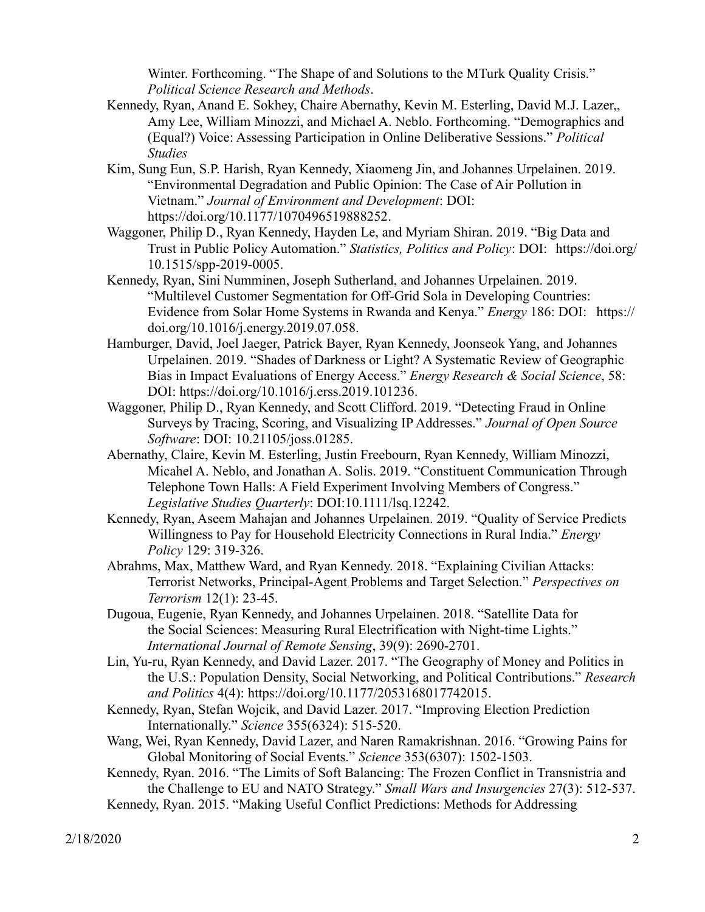Winter. Forthcoming. "The Shape of and Solutions to the MTurk Quality Crisis." *Political Science Research and Methods*.

- Kennedy, Ryan, Anand E. Sokhey, Chaire Abernathy, Kevin M. Esterling, David M.J. Lazer,, Amy Lee, William Minozzi, and Michael A. Neblo. Forthcoming. "Demographics and (Equal?) Voice: Assessing Participation in Online Deliberative Sessions." *Political Studies*
- Kim, Sung Eun, S.P. Harish, Ryan Kennedy, Xiaomeng Jin, and Johannes Urpelainen. 2019. "Environmental Degradation and Public Opinion: The Case of Air Pollution in Vietnam." *Journal of Environment and Development*: DOI: https://doi.org/10.1177/1070496519888252.
- Waggoner, Philip D., Ryan Kennedy, Hayden Le, and Myriam Shiran. 2019. "Big Data and Trust in Public Policy Automation." *Statistics, Politics and Policy*: DOI: https://doi.org/ 10.1515/spp-2019-0005.
- Kennedy, Ryan, Sini Numminen, Joseph Sutherland, and Johannes Urpelainen. 2019. "Multilevel Customer Segmentation for Off-Grid Sola in Developing Countries: Evidence from Solar Home Systems in Rwanda and Kenya." *Energy* 186: DOI: https:// doi.org/10.1016/j.energy.2019.07.058.
- Hamburger, David, Joel Jaeger, Patrick Bayer, Ryan Kennedy, Joonseok Yang, and Johannes Urpelainen. 2019. "Shades of Darkness or Light? A Systematic Review of Geographic Bias in Impact Evaluations of Energy Access." *Energy Research & Social Science*, 58: DOI: https://doi.org/10.1016/j.erss.2019.101236.
- Waggoner, Philip D., Ryan Kennedy, and Scott Clifford. 2019. "Detecting Fraud in Online Surveys by Tracing, Scoring, and Visualizing IP Addresses." *Journal of Open Source Software*: DOI: 10.21105/joss.01285.
- Abernathy, Claire, Kevin M. Esterling, Justin Freebourn, Ryan Kennedy, William Minozzi, Micahel A. Neblo, and Jonathan A. Solis. 2019. "Constituent Communication Through Telephone Town Halls: A Field Experiment Involving Members of Congress." *Legislative Studies Quarterly*: DOI:10.1111/lsq.12242.
- Kennedy, Ryan, Aseem Mahajan and Johannes Urpelainen. 2019. "Quality of Service Predicts Willingness to Pay for Household Electricity Connections in Rural India." *Energy Policy* 129: 319-326.
- Abrahms, Max, Matthew Ward, and Ryan Kennedy. 2018. "Explaining Civilian Attacks: Terrorist Networks, Principal-Agent Problems and Target Selection." *Perspectives on Terrorism* 12(1): 23-45.
- Dugoua, Eugenie, Ryan Kennedy, and Johannes Urpelainen. 2018. "Satellite Data for the Social Sciences: Measuring Rural Electrification with Night-time Lights." *International Journal of Remote Sensing*, 39(9): 2690-2701.
- Lin, Yu-ru, Ryan Kennedy, and David Lazer. 2017. "The Geography of Money and Politics in the U.S.: Population Density, Social Networking, and Political Contributions." *Research and Politics* 4(4): https://doi.org/10.1177/2053168017742015.
- Kennedy, Ryan, Stefan Wojcik, and David Lazer. 2017. "Improving Election Prediction Internationally." *Science* 355(6324): 515-520.
- Wang, Wei, Ryan Kennedy, David Lazer, and Naren Ramakrishnan. 2016. "Growing Pains for Global Monitoring of Social Events." *Science* 353(6307): 1502-1503.
- Kennedy, Ryan. 2016. "The Limits of Soft Balancing: The Frozen Conflict in Transnistria and the Challenge to EU and NATO Strategy." *Small Wars and Insurgencies* 27(3): 512-537. Kennedy, Ryan. 2015. "Making Useful Conflict Predictions: Methods for Addressing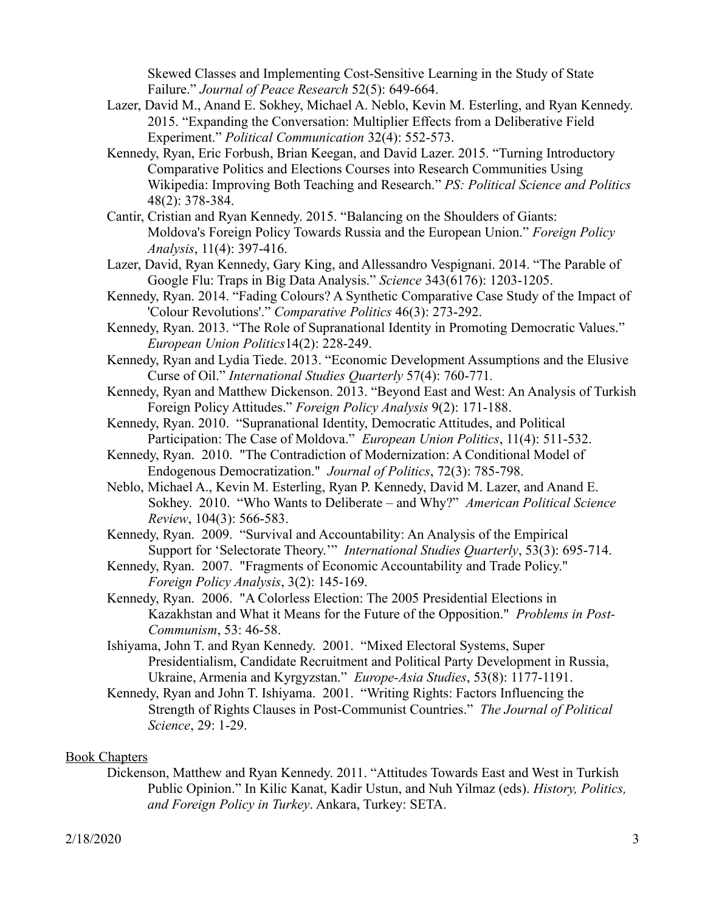Skewed Classes and Implementing Cost-Sensitive Learning in the Study of State Failure." *Journal of Peace Research* 52(5): 649-664.

- Lazer, David M., Anand E. Sokhey, Michael A. Neblo, Kevin M. Esterling, and Ryan Kennedy. 2015. "Expanding the Conversation: Multiplier Effects from a Deliberative Field Experiment." *Political Communication* 32(4): 552-573.
- Kennedy, Ryan, Eric Forbush, Brian Keegan, and David Lazer. 2015. "Turning Introductory Comparative Politics and Elections Courses into Research Communities Using Wikipedia: Improving Both Teaching and Research." *PS: Political Science and Politics* 48(2): 378-384.
- Cantir, Cristian and Ryan Kennedy. 2015. "Balancing on the Shoulders of Giants: Moldova's Foreign Policy Towards Russia and the European Union." *Foreign Policy Analysis*, 11(4): 397-416.
- Lazer, David, Ryan Kennedy, Gary King, and Allessandro Vespignani. 2014. "The Parable of Google Flu: Traps in Big Data Analysis." *Science* 343(6176): 1203-1205.
- Kennedy, Ryan. 2014. "Fading Colours? A Synthetic Comparative Case Study of the Impact of 'Colour Revolutions'." *Comparative Politics* 46(3): 273-292.
- Kennedy, Ryan. 2013. "The Role of Supranational Identity in Promoting Democratic Values." *European Union Politics*14(2): 228-249.
- Kennedy, Ryan and Lydia Tiede. 2013. "Economic Development Assumptions and the Elusive Curse of Oil." *International Studies Quarterly* 57(4): 760-771*.*
- Kennedy, Ryan and Matthew Dickenson. 2013. "Beyond East and West: An Analysis of Turkish Foreign Policy Attitudes." *Foreign Policy Analysis* 9(2): 171-188.
- Kennedy, Ryan. 2010. "Supranational Identity, Democratic Attitudes, and Political Participation: The Case of Moldova." *European Union Politics*, 11(4): 511-532.
- Kennedy, Ryan. 2010. "The Contradiction of Modernization: A Conditional Model of Endogenous Democratization." *Journal of Politics*, 72(3): 785-798.
- Neblo, Michael A., Kevin M. Esterling, Ryan P. Kennedy, David M. Lazer, and Anand E. Sokhey. 2010. "Who Wants to Deliberate – and Why?" *American Political Science Review*, 104(3): 566-583.
- Kennedy, Ryan. 2009. "Survival and Accountability: An Analysis of the Empirical Support for 'Selectorate Theory.'" *International Studies Quarterly*, 53(3): 695-714.
- Kennedy, Ryan. 2007. "Fragments of Economic Accountability and Trade Policy." *Foreign Policy Analysis*, 3(2): 145-169.
- Kennedy, Ryan. 2006. "A Colorless Election: The 2005 Presidential Elections in Kazakhstan and What it Means for the Future of the Opposition." *Problems in Post-Communism*, 53: 46-58.
- Ishiyama, John T. and Ryan Kennedy. 2001. "Mixed Electoral Systems, Super Presidentialism, Candidate Recruitment and Political Party Development in Russia, Ukraine, Armenia and Kyrgyzstan." *Europe-Asia Studies*, 53(8): 1177-1191.
- Kennedy, Ryan and John T. Ishiyama. 2001. "Writing Rights: Factors Influencing the Strength of Rights Clauses in Post-Communist Countries." *The Journal of Political Science*, 29: 1-29.

# Book Chapters

Dickenson, Matthew and Ryan Kennedy. 2011. "Attitudes Towards East and West in Turkish Public Opinion." In Kilic Kanat, Kadir Ustun, and Nuh Yilmaz (eds). *History, Politics, and Foreign Policy in Turkey*. Ankara, Turkey: SETA.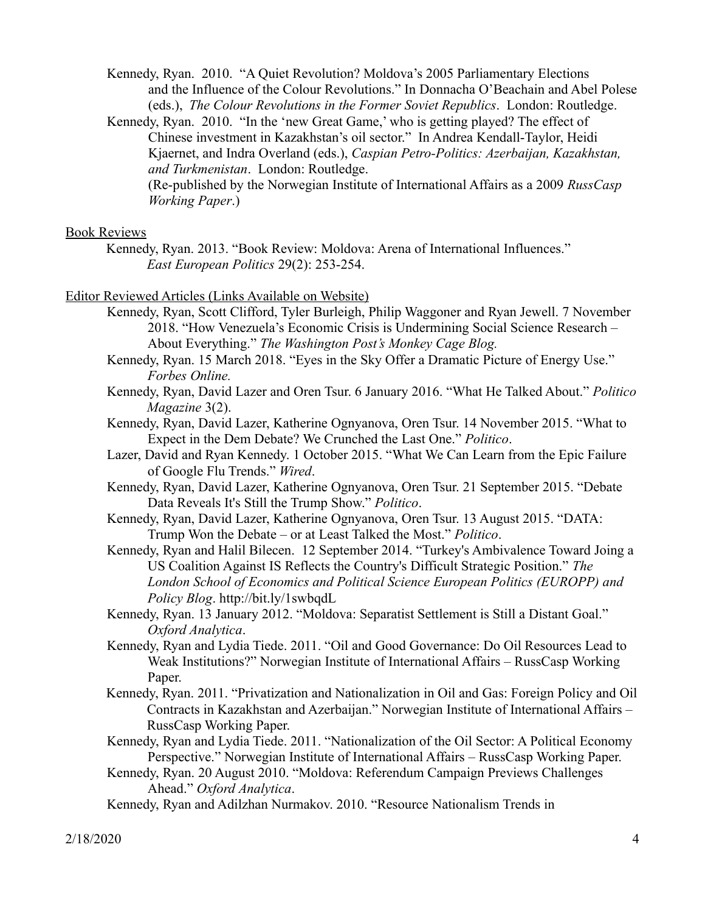Kennedy, Ryan. 2010. "A Quiet Revolution? Moldova's 2005 Parliamentary Elections and the Influence of the Colour Revolutions." In Donnacha O'Beachain and Abel Polese (eds.), *The Colour Revolutions in the Former Soviet Republics*. London: Routledge.

Kennedy, Ryan. 2010. "In the 'new Great Game,' who is getting played? The effect of Chinese investment in Kazakhstan's oil sector." In Andrea Kendall-Taylor, Heidi Kjaernet, and Indra Overland (eds.), *Caspian Petro-Politics: Azerbaijan, Kazakhstan, and Turkmenistan*. London: Routledge.

(Re-published by the Norwegian Institute of International Affairs as a 2009 *RussCasp Working Paper*.)

#### Book Reviews

Kennedy, Ryan. 2013. "Book Review: Moldova: Arena of International Influences." *East European Politics* 29(2): 253-254.

#### Editor Reviewed Articles (Links Available on Website)

- Kennedy, Ryan, Scott Clifford, Tyler Burleigh, Philip Waggoner and Ryan Jewell. 7 November 2018. "How Venezuela's Economic Crisis is Undermining Social Science Research – About Everything." *The Washington Post's Monkey Cage Blog.*
- Kennedy, Ryan. 15 March 2018. "Eyes in the Sky Offer a Dramatic Picture of Energy Use." *Forbes Online.*
- Kennedy, Ryan, David Lazer and Oren Tsur. 6 January 2016. "What He Talked About." *Politico Magazine* 3(2).
- Kennedy, Ryan, David Lazer, Katherine Ognyanova, Oren Tsur. 14 November 2015. "What to Expect in the Dem Debate? We Crunched the Last One." *Politico*.
- Lazer, David and Ryan Kennedy. 1 October 2015. "What We Can Learn from the Epic Failure of Google Flu Trends." *Wired*.
- Kennedy, Ryan, David Lazer, Katherine Ognyanova, Oren Tsur. 21 September 2015. "Debate Data Reveals It's Still the Trump Show." *Politico*.
- Kennedy, Ryan, David Lazer, Katherine Ognyanova, Oren Tsur. 13 August 2015. "DATA: Trump Won the Debate – or at Least Talked the Most." *Politico*.
- Kennedy, Ryan and Halil Bilecen. 12 September 2014. "Turkey's Ambivalence Toward Joing a US Coalition Against IS Reflects the Country's Difficult Strategic Position." *The London School of Economics and Political Science European Politics (EUROPP) and Policy Blog*. http://bit.ly/1swbqdL
- Kennedy, Ryan. 13 January 2012. "Moldova: Separatist Settlement is Still a Distant Goal." *Oxford Analytica*.
- Kennedy, Ryan and Lydia Tiede. 2011. "Oil and Good Governance: Do Oil Resources Lead to Weak Institutions?" Norwegian Institute of International Affairs – RussCasp Working Paper.
- Kennedy, Ryan. 2011. "Privatization and Nationalization in Oil and Gas: Foreign Policy and Oil Contracts in Kazakhstan and Azerbaijan." Norwegian Institute of International Affairs – RussCasp Working Paper.
- Kennedy, Ryan and Lydia Tiede. 2011. "Nationalization of the Oil Sector: A Political Economy Perspective." Norwegian Institute of International Affairs – RussCasp Working Paper.
- Kennedy, Ryan. 20 August 2010. "Moldova: Referendum Campaign Previews Challenges Ahead." *Oxford Analytica*.

Kennedy, Ryan and Adilzhan Nurmakov. 2010. "Resource Nationalism Trends in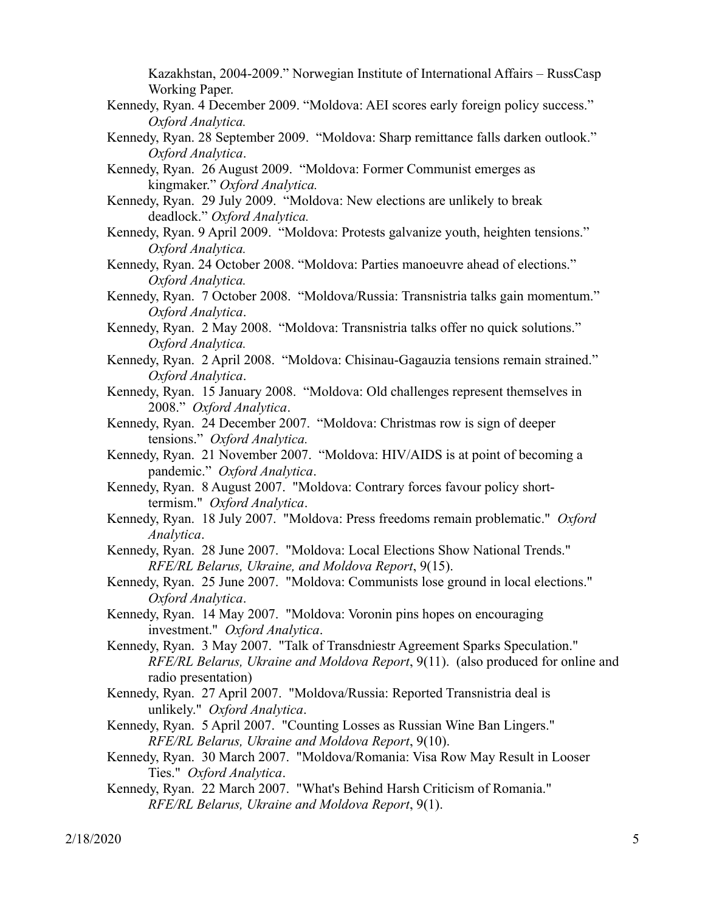Kazakhstan, 2004-2009." Norwegian Institute of International Affairs – RussCasp Working Paper.

- Kennedy, Ryan. 4 December 2009. "Moldova: AEI scores early foreign policy success." *Oxford Analytica.*
- Kennedy, Ryan. 28 September 2009. "Moldova: Sharp remittance falls darken outlook." *Oxford Analytica*.
- Kennedy, Ryan. 26 August 2009. "Moldova: Former Communist emerges as kingmaker." *Oxford Analytica.*
- Kennedy, Ryan. 29 July 2009. "Moldova: New elections are unlikely to break deadlock." *Oxford Analytica.*
- Kennedy, Ryan. 9 April 2009. "Moldova: Protests galvanize youth, heighten tensions." *Oxford Analytica.*
- Kennedy, Ryan. 24 October 2008. "Moldova: Parties manoeuvre ahead of elections." *Oxford Analytica.*
- Kennedy, Ryan. 7 October 2008. "Moldova/Russia: Transnistria talks gain momentum." *Oxford Analytica*.
- Kennedy, Ryan. 2 May 2008. "Moldova: Transnistria talks offer no quick solutions." *Oxford Analytica.*
- Kennedy, Ryan. 2 April 2008. "Moldova: Chisinau-Gagauzia tensions remain strained." *Oxford Analytica*.
- Kennedy, Ryan. 15 January 2008. "Moldova: Old challenges represent themselves in 2008." *Oxford Analytica*.
- Kennedy, Ryan. 24 December 2007. "Moldova: Christmas row is sign of deeper tensions." *Oxford Analytica.*
- Kennedy, Ryan. 21 November 2007. "Moldova: HIV/AIDS is at point of becoming a pandemic." *Oxford Analytica*.
- Kennedy, Ryan. 8 August 2007. "Moldova: Contrary forces favour policy shorttermism." *Oxford Analytica*.
- Kennedy, Ryan. 18 July 2007. "Moldova: Press freedoms remain problematic." *Oxford Analytica*.
- Kennedy, Ryan. 28 June 2007. "Moldova: Local Elections Show National Trends." *RFE/RL Belarus, Ukraine, and Moldova Report*, 9(15).
- Kennedy, Ryan. 25 June 2007. "Moldova: Communists lose ground in local elections." *Oxford Analytica*.
- Kennedy, Ryan. 14 May 2007. "Moldova: Voronin pins hopes on encouraging investment." *Oxford Analytica*.
- Kennedy, Ryan. 3 May 2007. "Talk of Transdniestr Agreement Sparks Speculation." *RFE/RL Belarus, Ukraine and Moldova Report*, 9(11). (also produced for online and radio presentation)
- Kennedy, Ryan. 27 April 2007. "Moldova/Russia: Reported Transnistria deal is unlikely." *Oxford Analytica*.
- Kennedy, Ryan. 5 April 2007. "Counting Losses as Russian Wine Ban Lingers." *RFE/RL Belarus, Ukraine and Moldova Report*, 9(10).
- Kennedy, Ryan. 30 March 2007. "Moldova/Romania: Visa Row May Result in Looser Ties." *Oxford Analytica*.
- Kennedy, Ryan. 22 March 2007. "What's Behind Harsh Criticism of Romania." *RFE/RL Belarus, Ukraine and Moldova Report*, 9(1).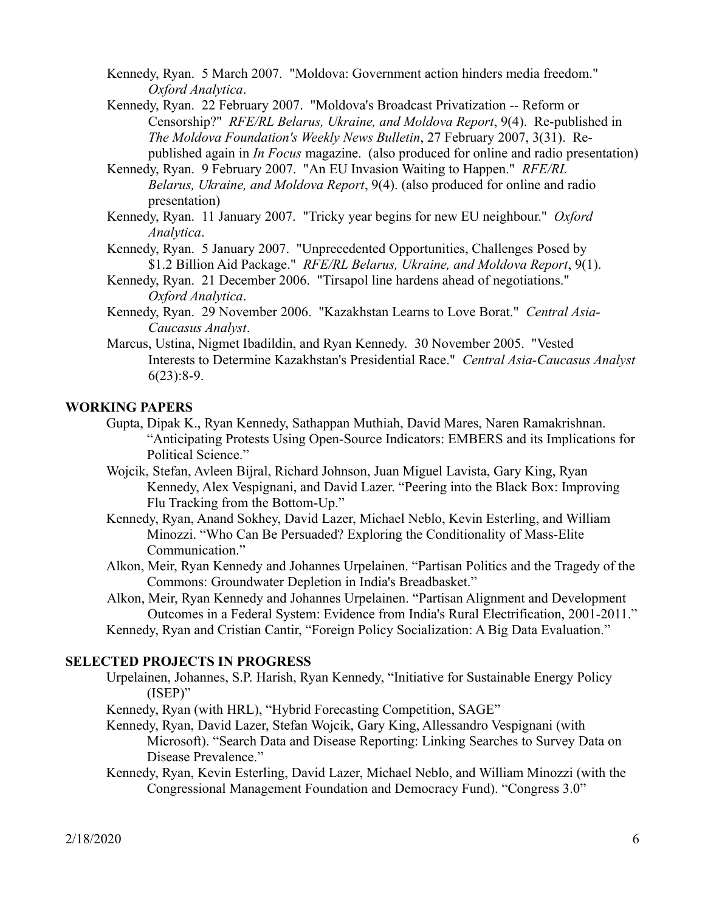- Kennedy, Ryan. 5 March 2007. "Moldova: Government action hinders media freedom." *Oxford Analytica*.
- Kennedy, Ryan. 22 February 2007. "Moldova's Broadcast Privatization -- Reform or Censorship?" *RFE/RL Belarus, Ukraine, and Moldova Report*, 9(4). Re-published in *The Moldova Foundation's Weekly News Bulletin*, 27 February 2007, 3(31). Republished again in *In Focus* magazine. (also produced for online and radio presentation)
- Kennedy, Ryan. 9 February 2007. "An EU Invasion Waiting to Happen." *RFE/RL Belarus, Ukraine, and Moldova Report*, 9(4). (also produced for online and radio presentation)
- Kennedy, Ryan. 11 January 2007. "Tricky year begins for new EU neighbour." *Oxford Analytica*.
- Kennedy, Ryan. 5 January 2007. "Unprecedented Opportunities, Challenges Posed by \$1.2 Billion Aid Package." *RFE/RL Belarus, Ukraine, and Moldova Report*, 9(1).
- Kennedy, Ryan. 21 December 2006. "Tirsapol line hardens ahead of negotiations." *Oxford Analytica*.
- Kennedy, Ryan. 29 November 2006. "Kazakhstan Learns to Love Borat." *Central Asia-Caucasus Analyst*.
- Marcus, Ustina, Nigmet Ibadildin, and Ryan Kennedy. 30 November 2005. "Vested Interests to Determine Kazakhstan's Presidential Race." *Central Asia-Caucasus Analyst*  $6(23):8-9.$

### **WORKING PAPERS**

- Gupta, Dipak K., Ryan Kennedy, Sathappan Muthiah, David Mares, Naren Ramakrishnan. "Anticipating Protests Using Open-Source Indicators: EMBERS and its Implications for Political Science."
- Wojcik, Stefan, Avleen Bijral, Richard Johnson, Juan Miguel Lavista, Gary King, Ryan Kennedy, Alex Vespignani, and David Lazer. "Peering into the Black Box: Improving Flu Tracking from the Bottom-Up."
- Kennedy, Ryan, Anand Sokhey, David Lazer, Michael Neblo, Kevin Esterling, and William Minozzi. "Who Can Be Persuaded? Exploring the Conditionality of Mass-Elite Communication."
- Alkon, Meir, Ryan Kennedy and Johannes Urpelainen. "Partisan Politics and the Tragedy of the Commons: Groundwater Depletion in India's Breadbasket."
- Alkon, Meir, Ryan Kennedy and Johannes Urpelainen. "Partisan Alignment and Development Outcomes in a Federal System: Evidence from India's Rural Electrification, 2001-2011." Kennedy, Ryan and Cristian Cantir, "Foreign Policy Socialization: A Big Data Evaluation."

# **SELECTED PROJECTS IN PROGRESS**

- Urpelainen, Johannes, S.P. Harish, Ryan Kennedy, "Initiative for Sustainable Energy Policy (ISEP)"
- Kennedy, Ryan (with HRL), "Hybrid Forecasting Competition, SAGE"
- Kennedy, Ryan, David Lazer, Stefan Wojcik, Gary King, Allessandro Vespignani (with Microsoft). "Search Data and Disease Reporting: Linking Searches to Survey Data on Disease Prevalence."
- Kennedy, Ryan, Kevin Esterling, David Lazer, Michael Neblo, and William Minozzi (with the Congressional Management Foundation and Democracy Fund). "Congress 3.0"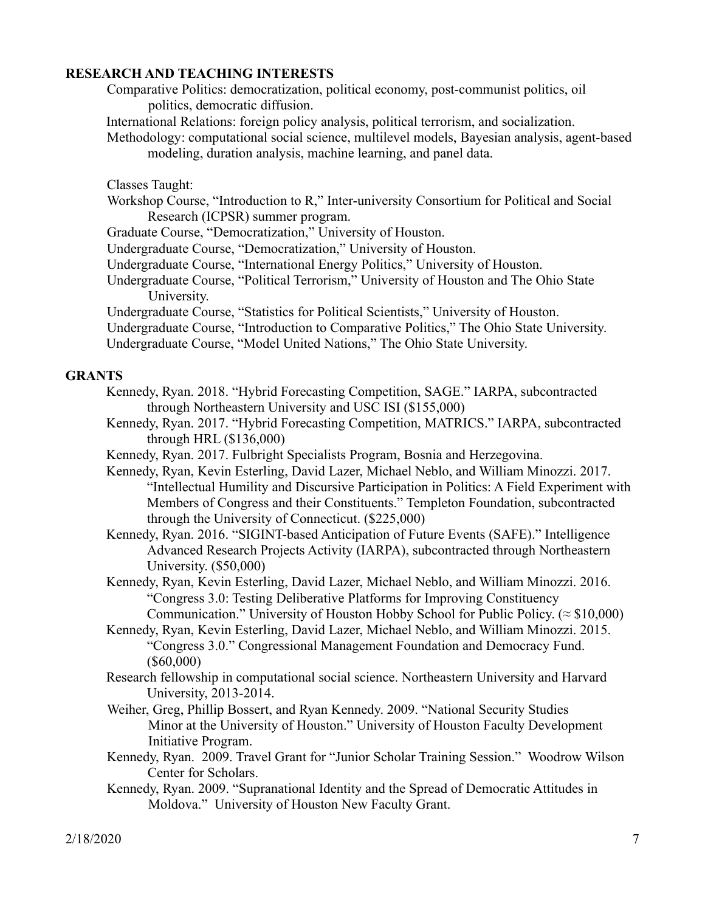## **RESEARCH AND TEACHING INTERESTS**

Comparative Politics: democratization, political economy, post-communist politics, oil politics, democratic diffusion.

International Relations: foreign policy analysis, political terrorism, and socialization.

Methodology: computational social science, multilevel models, Bayesian analysis, agent-based modeling, duration analysis, machine learning, and panel data.

Classes Taught:

Workshop Course, "Introduction to R," Inter-university Consortium for Political and Social Research (ICPSR) summer program.

Graduate Course, "Democratization," University of Houston.

Undergraduate Course, "Democratization," University of Houston.

- Undergraduate Course, "International Energy Politics," University of Houston.
- Undergraduate Course, "Political Terrorism," University of Houston and The Ohio State University.

Undergraduate Course, "Statistics for Political Scientists," University of Houston.

Undergraduate Course, "Introduction to Comparative Politics," The Ohio State University.

Undergraduate Course, "Model United Nations," The Ohio State University.

#### **GRANTS**

- Kennedy, Ryan. 2018. "Hybrid Forecasting Competition, SAGE." IARPA, subcontracted through Northeastern University and USC ISI (\$155,000)
- Kennedy, Ryan. 2017. "Hybrid Forecasting Competition, MATRICS." IARPA, subcontracted through HRL (\$136,000)
- Kennedy, Ryan. 2017. Fulbright Specialists Program, Bosnia and Herzegovina.
- Kennedy, Ryan, Kevin Esterling, David Lazer, Michael Neblo, and William Minozzi. 2017. "Intellectual Humility and Discursive Participation in Politics: A Field Experiment with Members of Congress and their Constituents." Templeton Foundation, subcontracted through the University of Connecticut. (\$225,000)
- Kennedy, Ryan. 2016. "SIGINT-based Anticipation of Future Events (SAFE)." Intelligence Advanced Research Projects Activity (IARPA), subcontracted through Northeastern University. (\$50,000)
- Kennedy, Ryan, Kevin Esterling, David Lazer, Michael Neblo, and William Minozzi. 2016. "Congress 3.0: Testing Deliberative Platforms for Improving Constituency Communication." University of Houston Hobby School for Public Policy. ( $\approx$  \$10,000)
- Kennedy, Ryan, Kevin Esterling, David Lazer, Michael Neblo, and William Minozzi. 2015. "Congress 3.0." Congressional Management Foundation and Democracy Fund. (\$60,000)
- Research fellowship in computational social science. Northeastern University and Harvard University, 2013-2014.
- Weiher, Greg, Phillip Bossert, and Ryan Kennedy. 2009. "National Security Studies Minor at the University of Houston." University of Houston Faculty Development Initiative Program.
- Kennedy, Ryan. 2009. Travel Grant for "Junior Scholar Training Session." Woodrow Wilson Center for Scholars.
- Kennedy, Ryan. 2009. "Supranational Identity and the Spread of Democratic Attitudes in Moldova." University of Houston New Faculty Grant.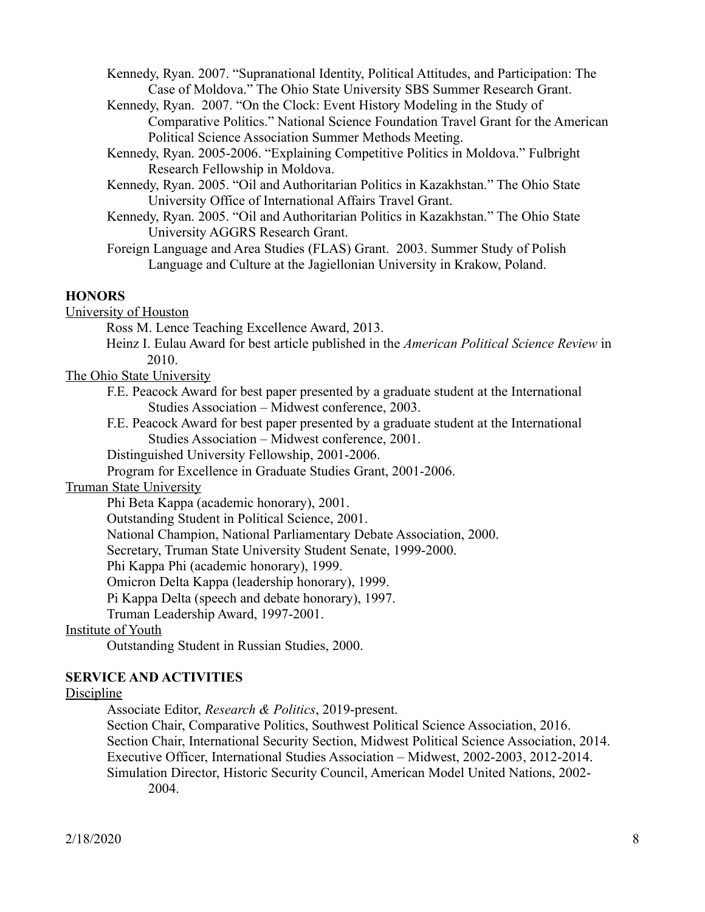Kennedy, Ryan. 2007. "Supranational Identity, Political Attitudes, and Participation: The Case of Moldova." The Ohio State University SBS Summer Research Grant.

- Kennedy, Ryan. 2007. "On the Clock: Event History Modeling in the Study of Comparative Politics." National Science Foundation Travel Grant for the American Political Science Association Summer Methods Meeting.
- Kennedy, Ryan. 2005-2006. "Explaining Competitive Politics in Moldova." Fulbright Research Fellowship in Moldova.
- Kennedy, Ryan. 2005. "Oil and Authoritarian Politics in Kazakhstan." The Ohio State University Office of International Affairs Travel Grant.
- Kennedy, Ryan. 2005. "Oil and Authoritarian Politics in Kazakhstan." The Ohio State University AGGRS Research Grant.
- Foreign Language and Area Studies (FLAS) Grant. 2003. Summer Study of Polish Language and Culture at the Jagiellonian University in Krakow, Poland.

## **HONORS**

University of Houston

Ross M. Lence Teaching Excellence Award, 2013.

Heinz I. Eulau Award for best article published in the *American Political Science Review* in 2010.

The Ohio State University

- F.E. Peacock Award for best paper presented by a graduate student at the International Studies Association – Midwest conference, 2003.
- F.E. Peacock Award for best paper presented by a graduate student at the International Studies Association – Midwest conference, 2001.

Distinguished University Fellowship, 2001-2006.

Program for Excellence in Graduate Studies Grant, 2001-2006.

#### Truman State University

Phi Beta Kappa (academic honorary), 2001.

Outstanding Student in Political Science, 2001.

National Champion, National Parliamentary Debate Association, 2000.

Secretary, Truman State University Student Senate, 1999-2000.

Phi Kappa Phi (academic honorary), 1999.

Omicron Delta Kappa (leadership honorary), 1999.

Pi Kappa Delta (speech and debate honorary), 1997.

Truman Leadership Award, 1997-2001.

Institute of Youth

Outstanding Student in Russian Studies, 2000.

# **SERVICE AND ACTIVITIES**

# Discipline

Associate Editor, *Research & Politics*, 2019-present.

Section Chair, Comparative Politics, Southwest Political Science Association, 2016. Section Chair, International Security Section, Midwest Political Science Association, 2014. Executive Officer, International Studies Association – Midwest, 2002-2003, 2012-2014. Simulation Director, Historic Security Council, American Model United Nations, 2002- 2004.